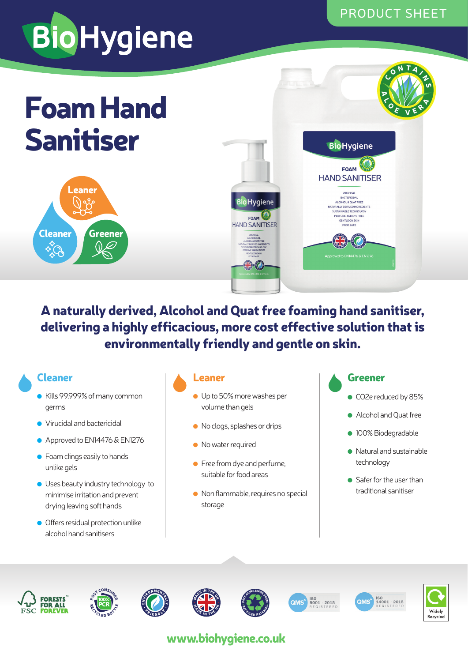# **BioHygiene**

# Foam Hand Sanitiser





### A naturally derived, Alcohol and Quat free foaming hand sanitiser, delivering a highly efficacious, more cost effective solution that is environmentally friendly and gentle on skin.

### Cleaner

- Kills 99.999% of many common germs
- Virucidal and bactericidal
- Approved to EN14476 & EN1276
- $\bullet$  Foam clings easily to hands unlike gels
- Uses beauty industry technology to minimise irritation and prevent drying leaving soft hands
- Offers residual protection unlike alcohol hand sanitisers

### Leaner

- Up to 50% more washes per volume than gels
- No clogs, splashes or drips
- No water required
- $\bullet$  Free from dye and perfume, suitable for food areas
- Non flammable, requires no special storage

### Greener

- CO2e reduced by 85%
- Alcohol and Quat free
- 100% Biodegradable
- Natural and sustainable technology
- Safer for the user than traditional sanitiser

















## www.biohygiene.co.uk